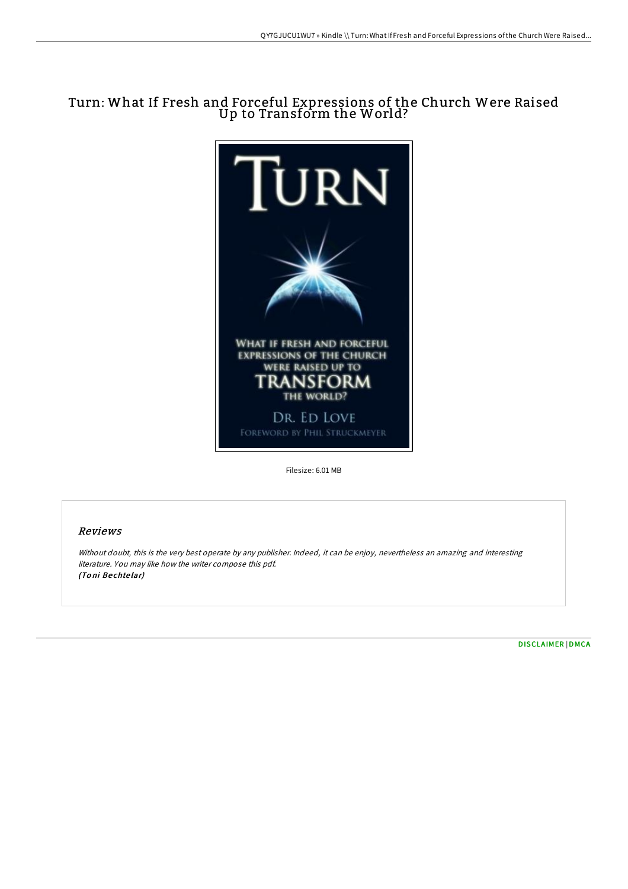# Turn: What If Fresh and Forceful Expressions of the Church Were Raised Up to Transform the World?



Filesize: 6.01 MB

# Reviews

Without doubt, this is the very best operate by any publisher. Indeed, it can be enjoy, nevertheless an amazing and interesting literature. You may like how the writer compose this pdf. (To ni Be chte lar)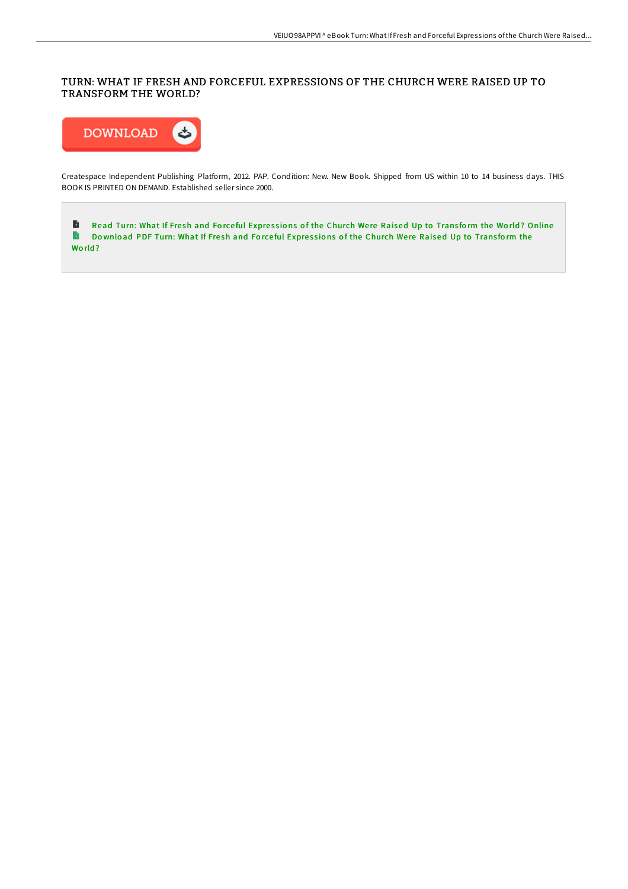# TURN: WHAT IF FRESH AND FORCEFUL EXPRESSIONS OF THE CHURCH WERE RAISED UP TO TRANSFORM THE WORLD?



Createspace Independent Publishing Platform, 2012. PAP. Condition: New. New Book. Shipped from US within 10 to 14 business days. THIS BOOK IS PRINTED ON DEMAND. Established seller since 2000.

Read Turn: What If Fresh and Forceful Expressions of the [Church](http://almighty24.tech/turn-what-if-fresh-and-forceful-expressions-of-t.html) Were Raised Up to Transform the World? Online Download PDF Turn: What If Fresh and Forceful Expressions of the [Church](http://almighty24.tech/turn-what-if-fresh-and-forceful-expressions-of-t.html) Were Raised Up to Transform the World?